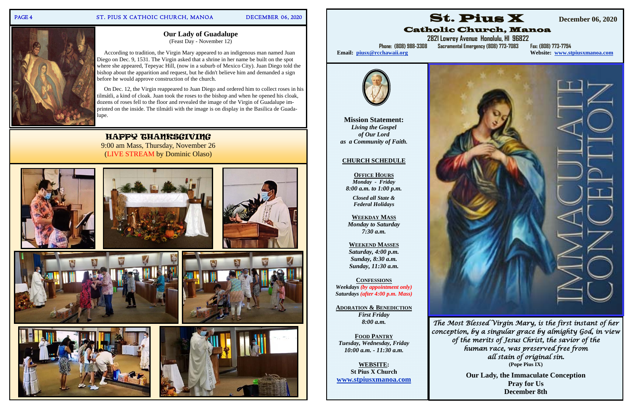## PAGE 4 ST. PIUS X CATHOIC CHURCH, MANOA DECEMBER 06, 2020



# HAPPY THANKSGIVING

9:00 am Mass, Thursday, November 26 (LIVE STREAM by Dominic Olaso)



**Our Lady of Guadalupe**  (Feast Day - November 12)

 According to tradition, the Virgin Mary appeared to an indigenous man named Juan Diego on Dec. 9, 1531. The Virgin asked that a shrine in her name be built on the spot where she appeared, Tepeyac Hill, (now in a suburb of Mexico City). Juan Diego told the bishop about the apparition and request, but he didn't believe him and demanded a sign before he would approve construction of the church.

 On Dec. 12, the Virgin reappeared to Juan Diego and ordered him to collect roses in his tilmátli, a kind of cloak. Juan took the roses to the bishop and when he opened his cloak, dozens of roses fell to the floor and revealed the image of the Virgin of Guadalupe imprinted on the inside. The tilmátli with the image is on display in the Basilica de Guadalupe. **Mission Statement:** 

*Living the Gospel of Our Lord as a Community of Faith.* 

## **CHURCH SCHEDULE**

**OFFICE HOURS***Monday - Friday 8:00 a.m. to 1:00 p.m.* 

*Closed all State & Federal Holidays* 

**WEEKDAY MASS**  *Monday to Saturday 7:30 a.m.* 

**WEEKEND MASSES** *Saturday, 4:00 p.m. Sunday, 8:30 a.m. Sunday, 11:30 a.m.* 

**CONFESSIONS***Weekdays (by appointment only) Saturdays (after 4:00 p.m. Mass)* 

**ADORATION & BENEDICTION** *First Friday 8:00 a.m.* 

**FOOD PANTRY***Tuesday, Wednesday, Friday 10:00 a.m. - 11:30 a.m.* 

**WEBSITE: St Pius X Church www.stpiusxmanoa.com** 



Catholic Church, Manoa

Email: piusx@rcchawaii.org

# **2821 Lowrey Avenue Honolulu, HI 96822**

**Phone: (808) 988-3308 Sacramental Emergency (808) 773-7083 Fax: (808) 773-7794** 

**Website: www.stpiusxmanoa.com** 



*The Most Blessed Virgin Mary, is the first instant of her conception, by a singular grace by almighty God, in view of the merits of Jesus Christ, the savior of the human race, was preserved free from all stain of original sin.*  **(Pope Pius IX)** 

> **Our Lady, the Immaculate Conception Pray for Us December 8th**